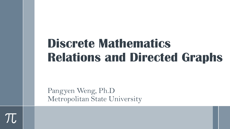## **Discrete Mathematics Relations and Directed Graphs**

Pangyen Weng, Ph.D Metropolitan State University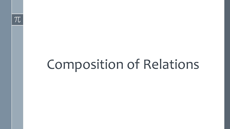# Composition of Relations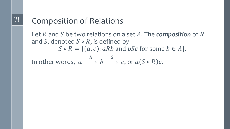#### Composition of Relations

Let R and S be two relations on a set A. The *composition* of R and S, denoted  $S \circ R$ , is defined by  $S \circ R = \{ (a, c) : aRb \text{ and } bSc \text{ for some } b \in A \}.$ In other words,  $a$  $\overline{R}$  $\boldsymbol{b}$  $\mathcal{S}_{0}$  $c$ , or  $a(S \circ R)c$ .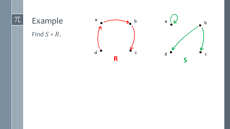### Example Find  $S \circ R$ .



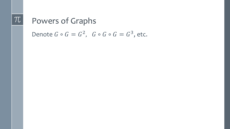#### Powers of Graphs

Denote  $G \circ G = G^2$ ,  $G \circ G \circ G = G^3$ , etc.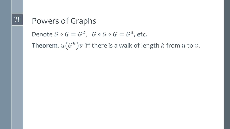#### Powers of Graphs

Denote  $G \circ G = G^2$ ,  $G \circ G \circ G = G^3$ , etc.

**Theorem.**  $u(G^k)v$  iff there is a walk of length  $k$  from  $u$  to  $v$ .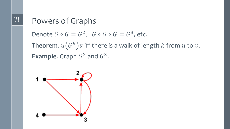#### Powers of Graphs

Denote  $G \circ G = G^2$ ,  $G \circ G \circ G = G^3$ , etc.

**Theorem.**  $u(G^k)v$  iff there is a walk of length  $k$  from  $u$  to  $v$ . **Example.** Graph  $G^2$  and  $G^3$ .

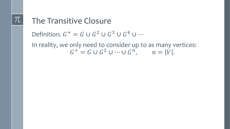#### The Transitive Closure

Definition.  $G^+ = G \cup G^2 \cup G^3 \cup G^4 \cup \cdots$ 

In reality, we only need to consider up to as many vertices:  $G^+ = G \cup G^2 \cup \cdots \cup G^n$ ,  $n = |V|$ .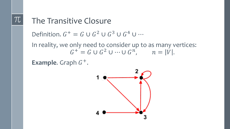#### The Transitive Closure

Definition.  $G^+ = G \cup G^2 \cup G^3 \cup G^4 \cup \cdots$ 

In reality, we only need to consider up to as many vertices:  $G^+ = G \cup G^2 \cup \cdots \cup G^n$ ,  $n = |V|$ .

**Example.** Graph  $G^+$ .